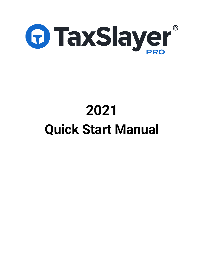

# **2021 Quick Start Manual**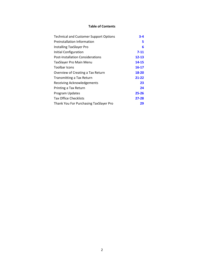# **Table of Contents**

| <b>Technical and Customer Support Options</b> | $3 - 4$   |
|-----------------------------------------------|-----------|
| Preinstallation Information                   | 5         |
| <b>Installing TaxSlayer Pro</b>               | 6         |
| Initial Configuration                         | $7 - 11$  |
| <b>Post-Installation Considerations</b>       | $12 - 13$ |
| <b>TaxSlayer Pro Main Menu</b>                | 14-15     |
| Toolbar Icons                                 | 16-17     |
| Overview of Creating a Tax Return             | 18-20     |
| Transmitting a Tax Return                     | 21-22     |
| Receiving Acknowledgements                    | 23        |
| Printing a Tax Return                         | 24        |
| Program Updates                               | $25 - 26$ |
| <b>Tax Office Checklists</b>                  | $27 - 28$ |
| Thank You For Purchasing TaxSlayer Pro        | 29        |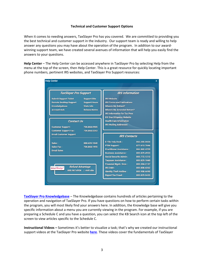## **Technical and Customer Support Options**

When it comes to needing answers, TaxSlayer Pro has you covered. We are committed to providing you the best technical and customer support in the industry. Our support team is ready and willing to help answer any questions you may have about the operation of the program. In addition to our awardwinning support team, we have created several avenues of information that will help you easily find the answers to your questions.

**Help Center** – The Help Center can be accessed anywhere in TaxSlayer Pro by selecting Help from the menu at the top of the screen, then Help Center. This is a great resource for quickly locating important phone numbers, pertinent IRS websites, and TaxSlayer Pro Support resources:

| <b>TaxSlayer Pro Support</b>                                                                         |                                                                                          | <b>IRS</b> Information                                                                                                                                           |                                                              |  |  |  |
|------------------------------------------------------------------------------------------------------|------------------------------------------------------------------------------------------|------------------------------------------------------------------------------------------------------------------------------------------------------------------|--------------------------------------------------------------|--|--|--|
| <b>Submit Support Ticket</b><br><b>Remote Desktop Support</b><br>Knowledgebase<br><b>Account Hub</b> | <b>Support Site</b><br><b>Support Hours</b><br><b>State Info</b><br><b>Release Notes</b> | <b>IRS Website</b><br><b>IRS Forms and Publications</b><br><b>Where's My Refund?</b><br><b>Where's My Amended Return?</b><br><b>IRS Information for Tax Pros</b> |                                                              |  |  |  |
|                                                                                                      |                                                                                          | <b>EIC Due Diligence Website</b>                                                                                                                                 |                                                              |  |  |  |
| <b>Contact Us</b><br><b>Customer Support:</b><br><b>Customer Support Fax:</b>                        | 706.868.0985<br>706.868.0263                                                             | <b>Health Care Information</b><br><b>IRS Mailing Addresses</b>                                                                                                   |                                                              |  |  |  |
| <b>Email Customer Support</b>                                                                        |                                                                                          | <b>IRS Contacts</b>                                                                                                                                              |                                                              |  |  |  |
| Sales:<br>Sales Fax:<br><b>Email Sales</b>                                                           | 888.420.1040<br>706.868.1955                                                             | <b>E-File Help Desk:</b><br><b>PTIN Support:</b><br><b>Practitioner Assistance:</b><br><b>Business Assistance:</b>                                               | 866.255.0654<br>877.613.7846<br>866.860.4259<br>800.829.4933 |  |  |  |
| Refund Advantage!                                                                                    | <b>Refund Advantage</b>                                                                  | <b>Social Security Admin:</b><br><b>Taxpayer Assistance:</b><br><b>Financial Mgmt. Svcs:</b><br>IRS Debt:                                                        | 800.772.1213<br>800.829.1040<br>800.304.3107<br>800.808.4262 |  |  |  |
|                                                                                                      | 800.967.4934 / visit site                                                                | <b>Identity Theft Hotline:</b><br><b>Report Tax Fraud:</b>                                                                                                       | 800.908.4490<br>800.829.0433                                 |  |  |  |

**TaxSlayer Pro [Knowledgebase](https://support.taxslayerpro.com/)** – The Knowledgebase contains hundreds of articles pertaining to the operation and navigation of TaxSlayer Pro. If you have questions on how to perform certain tasks within the program, you will most likely find your answers here. In addition, the Knowledge base will give you specific information about a menu you are currently viewing in the program. For example, if you are preparing a Schedule C and you have a question, you can select the KB Search icon at the top left of the screen to view articles specific to the Schedule C.

**Instructional Videos –** Sometimes it's better to visualize a task; that's why we created our instructional support videos at the TaxSlayer Pro website **[here](https://www.taxslayerpro.com/education/)**. These videos cover the fundamentals of TaxSlayer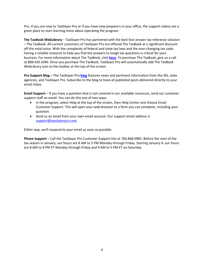Pro. If you are new to TaxSlayer Pro or if you have new preparers in your office, the support videos are a great place to start learning more about operating the program.

**The TaxBook WebLibrary** – TaxSlayer Pro has partnered with the best fast-answer tax reference solution – The TaxBook. All current customers of TaxSlayer Pro are offered The TaxBook at a significant discount off the retail price. With the complexity of federal and state tax laws and the ever-changing tax code, having a reliable resource to help you find the answers to tough tax questions is critical for your business. For more information about The TaxBook, click **[here](https://www.taxslayerpro.com/product-partnerships/the-tax-book-web-library-tax-preparer-resources/)**. To purchase The TaxBook, give us a call at 888.420.1040. Once you purchase The TaxBook, TaxSlayer Pro will automatically add The TaxBook WebLibrary icon to the toolbar at the top of the screen.

**Pro Support Blog –** The TaxSlayer Pro **[blog](https://www.taxslayerpro.com/blog/)** features news and pertinent information from the IRS, state agencies, and TaxSlayer Pro. Subscribe to the blog to have all published posts delivered directly to your email inbox.

**Email Support** – If you have a question that is not covered in our available resources, send our customer support staff an email. You can do this one of two ways:

- In the program, select Help at the top of the screen, then Help Center and choose Email Customer Support. This will open your web browser to a form you can complete, including your question.
- Send us an email from your own email account. Our support email address is [support@taxslayerpro.com.](mailto:support@taxslayerpro.com)

Either way, we'll respond to your email as soon as possible.

**Phone Support** – Call the TaxSlayer Pro Customer Support line at 706.868.0985. Before the start of the tax season in January, our hours are 8 AM to 5 PM Monday through Friday. Starting January 4, our hours are 8 AM to 9 PM ET Monday through Friday and 9 AM to 5 PM ET on Saturday.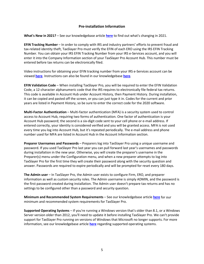# **Pre-installation Information**

**What's New in 2021?** – See our knowledgebase article **[here](https://support.taxslayerpro.com/hc/en-us/articles/4408337504538)** to find out what's changing in 2021.

**EFIN Tracking Number** – In order to comply with IRS and industry partners' efforts to prevent fraud and tax-related identity theft, TaxSlayer Pro must verify the EFIN of each ERO using the IRS EFIN Tracking Number. You can obtain your IRS EFIN Tracking Number from your IRS e-Services account, and you will enter it into the Company Information section of your TaxSlayer Pro Account Hub. This number must be entered before tax returns can be electronically filed.

Video instructions for obtaining your EFIN tracking number from your IRS e-Services account can be viewed **[here](https://www.youtube.com/watch?v=73Q1JMPAGDk)**. Instructions can also be found in our knowledgebase **[here](https://support.taxslayerpro.com/hc/en-us/articles/360009296013)***.*

**EFIN Validation Code** – When installing TaxSlayer Pro, you will be required to enter the EFIN Validation Code, a 12-character alphanumeric code that the IRS requires to electronically file federal tax returns. This code is available in Account Hub under Account History, then Payment History. During installation, it can be copied and pasted off the screen, or you can just type it in. Codes for the current and prior years are listed in Payment History, so be sure to enter the correct code for the 2020 software.

**Multi-Factor Authentication** – Multi-factor authentication (MFA) is a security system used to control access to Account Hub, requiring two forms of authentication. One factor of authentication is your Account Hub password; the second is a six-digit code sent to your cell phone or e-mail address. If entered correctly, your identity is considered verified and you will be granted access. MFA is not used every time you log into Account Hub, but it's repeated periodically. The e-mail address and phone number used for MFA are listed in Account Hub in the Account Information section.

**Preparer Usernames and Passwords** – Preparers log into TaxSlayer Pro using a unique username and password. If you used TaxSlayer Pro last year you can pull forward last year's usernames and passwords during installation in the new year. Otherwise, you will create the preparer's username in the Preparer(s) menu under the Configuration menu, and when a new preparer attempts to log into TaxSlayer Pro for the first time they will create their password along with the security question and answer. Passwords are required to expire periodically and will be prompted for reset every 180 days.

**The Admin user** – In TaxSlayer Pro, the Admin user exists to configure Firm, ERO, and preparer information as well as custom security roles. The Admin username is simply ADMIN, and the password is the first password created during installation. The Admin user doesn't prepare tax returns and has no settings to be configured other than a password and security question.

**Minimum and Recommended System Requirements** – See our knowledgebase article **[here](https://support.taxslayerpro.com/hc/en-us/articles/360009171594)** for our minimum and recommended system requirements for TaxSlayer Pro.

**Supported Operating Systems** – If you're running a Windows version that's older than 8.1, or a Windows Server version older than 2012, you'll need to update it before installing TaxSlayer Pro. We can't provide support for TaxSlayer Pro running on versions of Windows that Microsoft no longer supports. For more information, see our knowledgebase article **[here](https://support.taxslayerpro.com/hc/en-us/articles/360009171674)** regarding supported operating systems.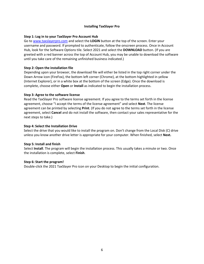## **Installing TaxSlayer Pro**

# **Step 1: Log in to your TaxSlayer Pro Account Hub**

Go to [www.taxslayerpro.com](http://www.taxslayerpro.com/) and select the **LOGIN** button at the top of the screen. Enter your username and password. If prompted to authenticate, follow the onscreen process. Once in Account Hub, look for the Software Options tile. Select 2021 and select the **DOWNLOAD** button. (If you are greeted with a red banner across the top of Account Hub, you may be unable to download the software until you take care of the remaining unfinished business indicated.)

# **Step 2: Open the installation file**

Depending upon your browser, the download file will either be listed in the top right corner under the Down Arrow icon (FireFox), the bottom left corner (Chrome), at the bottom highlighted in yellow (Internet Explorer), or in a white box at the bottom of the screen (Edge). Once the download is complete, choose either **Open** or **Install** as indicated to begin the installation process.

## **Step 3: Agree to the software license**

Read the TaxSlayer Pro software license agreement. If you agree to the terms set forth in the license agreement, choose "I accept the terms of the license agreement" and select **Next**. The license agreement can be printed by selecting **Print**. (If you do not agree to the terms set forth in the license agreement, select **Cancel** and do not install the software, then contact your sales representative for the next steps to take.)

# **Step 4: Select the Installation Drive**

Select the drive that you would like to install the program on. Don't change from the Local Disk (C) drive unless you know another drive letter is appropriate for your computer. When finished, select **Next.**

## **Step 5: Install and finish**

Select **Install**. The program will begin the installation process. This usually takes a minute or two. Once the installation is complete, select **Finish**.

## **Step 6: Start the program!**

Double-click the 2021 TaxSlayer Pro icon on your Desktop to begin the initial configuration.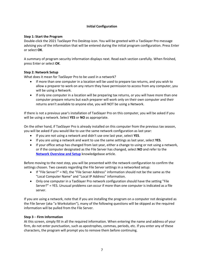# **Initial Configuration**

# **Step 1: Start the Program**

Double-click the 2021 TaxSlayer Pro Desktop icon. You will be greeted with a TaxSlayer Pro message advising you of the information that will be entered during the initial program configuration. Press Enter or select **OK**.

A summary of program security information displays next. Read each section carefully. When finished, press Enter or select **OK**.

# **Step 2: Network Setup**

What does it mean for TaxSlayer Pro to be used in a network?

- If more than one computer in a location will be used to prepare tax returns, and you wish to allow a preparer to work on any return they have permission to access from any computer, you will be using a Network.
- If only one computer in a location will be preparing tax returns, or you will have more than one computer prepare returns but each preparer will work only on their own computer and their returns aren't available to anyone else, you will NOT be using a Network.

If there is not a previous year's installation of TaxSlayer Pro on this computer, you will be asked if you will be using a network. Select **YES** or **NO** as appropriate.

On the other hand, if TaxSlayer Pro is already installed on this computer from the previous tax season, you will be asked if you would like to use the same network configuration as last year:

- If you are not using a network and didn't use one last year, select **YES**.
- If you are using a network and want to use the same settings as last year, select **YES**.
- If your office setup has changed from last year, either a change to using or not using a network, or if the computer designated as the File Server has changed, select **NO** and refer to the **Network [Overview and Setup](https://support.taxslayerpro.com/hc/en-us/articles/360009167754)** knowledgebase article.

Before moving to the next step, you will be presented with the network configuration to confirm the settings chosen. Two caveats regarding the File Server settings in a networked setup:

- If "File Server?" = NO, the "File Server Address" information should not be the same as the "Local Computer Name" and "Local IP Address" information.
- Only one computer in a TaxSlayer Pro network configuration should have the setting "File Server?" = YES. Unusual problems can occur if more than one computer is indicated as a file server.

If you are using a network, note that if you are installing the program on a computer not designated as the File Server (aka "a Workstation"), many of the following questions will be skipped as the required information will be pulled from the File Server.

## **Step 3** – **Firm Information**

At this screen, simply fill in all the required information. When entering the name and address of your firm, do not enter punctuation, such as apostrophes, commas, periods, etc. If you enter any of these characters, the program will prompt you to remove them before continuing.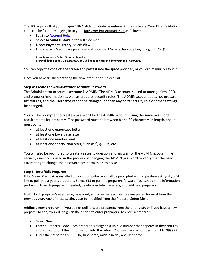The IRS requires that your unique EFIN Validation Code be entered in the software. Your EFIN Validation code can be found by logging in to your **[TaxSlayer](https://taxslayerpro.taxofficemanagement.com/accounthub/Login?ReturnUrl=%2faccounthub%2f) Pro Account Hub** as follows:

- Log in to **[Account](https://taxslayerpro.taxofficemanagement.com/accounthub/Login?ReturnUrl=%2faccounthub) Hub**.
- Select **Account History** in the left side menu.
- Under **Payment History**, select **View**
- Find *this year's* software purchase and note the 12-character code beginning with "7Q":

#### **Store Purchase - Order #1xxxxx | Receipt EFIN validation code 7Qxxxxxxxxxx. You will need to enter this into your 2021 Software.**

You can copy the code off the screen and paste it into the space provided, or you can manually key it in.

Once you have finished entering the firm information, select **Exit**.

# **Step 4: Create the Administrator Account Password**

The Administrator account username is ADMIN. The ADMIN account is used to manage firm, ERO, and preparer information as well as preparer security roles. The ADMIN account does not prepare tax returns, and the username cannot be changed, nor can any of its security role or other settings be changed.

You will be prompted to create a password for the ADMIN account, using the same password requirements for preparers. The password must be between 8 and 30 characters in length, and it must contain:

- at least one uppercase letter,
- at least one lowercase letter,
- at least one number, and
- at least one special character, such as  $\zeta$ ,  $\omega$ ,  $\theta$ ,  $\mu$ , etc.

You will also be prompted to create a security question and answer for the ADMIN account. The security question is used in the process of changing the ADMIN password to verify that the user attempting to change the password has permission to do so.

## **Step 5: Enter/Edit Preparers**

If TaxSlayer Pro 2020 is installed on your computer, you will be prompted with a question asking if you'd like to pull in last year's preparers. Select **YES** to pull the preparers forward. You can edit the information pertaining to each preparer if needed, delete obsolete preparers, and add new preparers.

NOTE: Each preparer's username, password, and assigned security role are pulled forward from the previous year. Any of these settings can be modified from the Preparer Setup Menu.

**Adding a new preparer** – If you do not pull forward preparers from the prior year, or if you have a new preparer to add, you will be given the option to enter preparers. To enter a preparer:

- Select **New**
- Enter a Preparer Code. Each preparer is assigned a unique number that appears in their returns and is used to pull their information into the return. You can use any number from 1 to 999999.
- Enter the preparer's SSN, PTIN, first name, middle initial, and last name.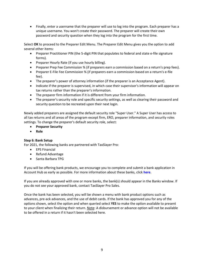• Finally, enter a username that the preparer will use to log into the program. Each preparer has a unique username. You won't create their password. The preparer will create their own password and security question when they log into the program for the first time.

Select **OK** to proceed to the Preparer Edit Menu. The Preparer Edit Menu gives you the option to add several other items:

- Preparer Practitioner PIN (the 5-digit PIN that populates to federal and state e-file signature forms).
- Preparer Hourly Rate (if you use hourly billing).
- Preparer Prep Fee Commission % (if preparers earn a commission based on a return's prep fees).
- Preparer E-File Fee Commission % (if preparers earn a commission based on a return's e-file fee).
- The preparer's power of attorney information (if the preparer is an Acceptance Agent).
- Indicate if the preparer is supervised, in which case their supervisor's information will appear on tax returns rather than the preparer's information.
- The preparer firm information if it is different from your firm information.
- The preparer's security role and specific security settings, as well as clearing their password and security question to be recreated upon their next login.

Newly added preparers are assigned the default security role "Super User." A Super User has access to all tax returns and all areas of the program except firm, ERO, preparer information, and security roles settings. To change the preparer's default security role, select:

- **Preparer Security**
- **Role**

# **Step 6: Bank Setup**

For 2021, the following banks are partnered with TaxSlayer Pro:

- EPS Financial
- Refund Advantage
- Santa Barbara TPG

If you will be offering bank products, we encourage you to complete and submit a bank application in Account Hub as early as possible. For more information about these banks, click **[here](https://support.taxslayerpro.com/hc/en-us/articles/360009291253)**.

If you are already approved with one or more banks, the bank(s) should appear in the Banks window. If you do not see your approved bank, contact TaxSlayer Pro Sales.

Once the bank has been selected, you will be shown a menu with bank product options such as advances, pre-ack advances, and the use of debit cards. If the bank has approved you for any of the options shown, select the option and when queried select **YES** to make the option available to present to your client when finalizing their return. Note: A disbursement or advance option will not be available to be offered in a return if it hasn't been selected here.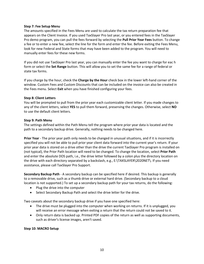## **Step 7: Fee Setup Menu**

The amounts specified in the Fees Menu are used to calculate the tax return preparation fee that appears on the Client Invoice. If you used TaxSlayer Pro last year, or you entered fees in the TaxSlayer Pro demo program, you can pull the fees forward by selecting the **Pull Prior Year Fees** button. To change a fee or to enter a new fee, select the line for the form and enter the fee. Before exiting the Fees Menu, look for new Federal and State forms that may have been added to the program. You will need to manually enter fees for these new forms.

If you did not use TaxSlayer Pro last year, you can manually enter the fee you want to charge for eac h form or select the **Set Range** button. This will allow you to set the same fee for a range of federal or state tax forms.

If you charge by the hour, check the **Charge by the Hour** check box in the lower left-hand corner of the window. Custom Fees and Custom Discounts that can be included on the invoice can also be created in the Fees menu. Select **Exit** when you have finished configuring your fees.

## **Step 8: Client Letters**

You will be prompted to pull from the prior year each customizable client letter. If you made changes to any of the client letters, select **YES** to pull them forward, preserving the changes. Otherwise, select **NO** to use the default client letters.

## **Step 9: Path Menu**

The settings defined within the Path Menu tell the program where prior year data is located and the path to a secondary backup drive. Generally, nothing needs to be changed here.

**Prior Year** - The prior year path only needs to be changed in unusual situations, and if it is incorrectly specified you will not be able to pull prior year client data forward into the current year's return. If your prior year data is stored on a drive other than the drive the current TaxSlayer Pro program is installed on (not typical), the Prior Path location will need to be changed. To change the location, select **Prior Path** and enter the absolute DOS path, i.e., the drive letter followed by a colon plus the directory location on the drive with each directory separated by a backslash, e.g., E:\TAXSLAYER\2020NET\. If you need assistance, please call TaxSlayer Pro Support.

**Secondary Backup Path** - A secondary backup can be specified here if desired. This backup is generally to a removable drive, such as a thumb drive or external hard drive. (Secondary backup to a cloud location is not supported.) To set up a secondary backup path for your tax returns, do the following:

- Plug the drive into the computer
- Select Secondary Backup Path and select the drive letter for the drive.

Two caveats about the secondary backup drive if you have one specified here:

- The drive must be plugged into the computer when working on returns. If it is unplugged, you will receive an error message when exiting a return that the return could not be saved to it.
- Only return data is backed up. Printed PDF copies of the return as well as supporting documents, such as driver's license images, aren't saved.

## **Step 10: MACRO Setup**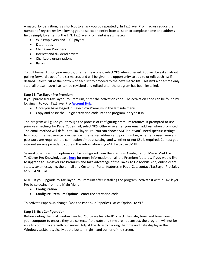A macro, by definition, is a shortcut to a task you do repeatedly. In TaxSlayer Pro, macros reduce the number of keystrokes by allowing you to select an entity from a list or to complete name and address fields simply by entering the EIN. TaxSlayer Pro maintains six macros:

- W-2 employers and 1099 payers
- K-1 entities
- Child Care Providers
- Interest and dividend payers
- Charitable organizations
- Banks

To pull forward prior year macros, or enter new ones, select **YES** when queried. You will be asked about pulling forward each of the six macros and will be given the opportunity to add to or edit each list if desired. Select **Exit** at the bottom of each list to proceed to the next macro list. This isn't a one-time only step; all these macro lists can be revisited and edited after the program has been installed.

# **Step 11: TaxSlayer Pro Premium**

If you purchased TaxSlayer Pro Premium, enter the activation code. The activation code can be found by logging in to your TaxSlayer Pro **[Account](https://taxslayerpro.taxofficemanagement.com/accounthub/Login?ReturnUrl=%2faccounthub%2f) Hub**:

- Once you have logged in, select **Pro Premium** in the left side menu.
- Copy and paste the 9-digit activation code into the program, or type it in.

The program will guide you through the process of configuring premium features. If prompted to use prior year settings for PaperCut e-mail, select **YES**. Otherwise enter your email address when prompted. The email method will default to TaxSlayer Pro. You can choose SMTP but you'll need specific settings from your internet service provider, i.e., the server address and port number, whether a username and password are required, the connection timeout setting, and whether or not SSL is required. Contact your internet service provider to obtain this information if you'd like to use SMTP.

Several other premium options can be configured from the Premium Configuration Menu. Visit the TaxSlayer Pro Knowledgebase **[here](https://support.taxslayerpro.com/hc/en-us/articles/360009302393)** for more information on all the Premium features. If you would like to upgrade to TaxSlayer Pro Premium and take advantage of the Taxes To Go Mobile App, online client status, text messaging, the e-mail and Customer Portal features in PaperCut, contact TaxSlayer Pro Sales at 888.420.1040.

NOTE: If you upgrade to TaxSlayer Pro Premium after installing the program, activate it within TaxSlayer Pro by selecting from the Main Menu:

- **Configuration**
- **Configure Premium Options** enter the activation code.

To activate PaperCut, change "Use the PaperCut Paperless Office Option" to **YES**.

## **Step 12: Exit Configuration**

Before exiting the final window headed "Software Installed!", check the date, time, and time zone on your computer to ensure they are correct. If the date and time are not correct, the program will not be able to communicate with our server. Adjust the date by clicking the time and date display in the Windows taskbar, typically at the bottom right-hand corner of the screen.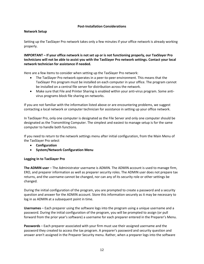## **Post-Installation Considerations**

# **Network Setup**

Setting up the TaxSlayer Pro network takes only a few minutes if your office network is already working properly.

**IMPORTANT – If your office network is not set up or is not functioning properly, our TaxSlayer Pro technicians will not be able to assist you with the TaxSlayer Pro network settings. Contact your local network technician for assistance if needed.**

Here are a few items to consider when setting up the TaxSlayer Pro network:

- The TaxSlayer Pro network operates in a peer-to-peer environment. This means that the TaxSlayer Pro program must be installed on each computer in your office. The program cannot be installed on a central file server for distribution across the network.
- Make sure that File and Printer Sharing is enabled within your anti-virus program. Some antivirus programs block file sharing on networks.

If you are not familiar with the information listed above or are encountering problems, we suggest contacting a local network or computer technician for assistance in setting up your office network.

In TaxSlayer Pro, only one computer is designated as the File Server and only one computer should be designated as the Transmitting Computer. The simplest and easiest to manage setup is for the same computer to handle both functions.

If you need to return to the network settings menu after initial configuration, from the Main Menu of the TaxSlayer Pro select

- **Configuration**
- **System/Network Configuration Menu**

## **Logging In to TaxSlayer Pro**

**The ADMIN user** – The Administrator username is ADMIN. The ADMIN account is used to manage firm, ERO, and preparer information as well as preparer security roles. The ADMIN user does not prepare tax returns, and the username cannot be changed, nor can any of its security role or other settings be changed.

During the initial configuration of the program, you are prompted to create a password and a security question and answer for the ADMIN account. Store this information securely as it may be necessary to log in as ADMIN at a subsequent point in time.

**Usernames** – Each preparer using the software logs into the program using a unique username and a password. During the initial configuration of the program, you will be prompted to assign (or pull forward from the prior year's software) a username for each preparer entered in the Preparer's Menu.

**Passwords** – Each preparer associated with your firm must use their assigned username and the password they created to access the tax program. A preparer's password and security question and answer aren't assigned in the Preparer Security menu. Rather, when a preparer logs into the software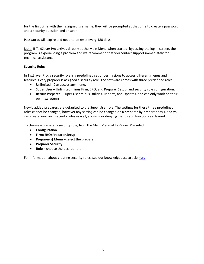for the first time with their assigned username, they will be prompted at that time to create a password and a security question and answer.

Passwords will expire and need to be reset every 180 days.

Note: If TaxSlayer Pro arrives directly at the Main Menu when started, bypassing the log in screen, the program is experiencing a problem and we recommend that you contact support immediately for technical assistance.

# **Security Roles**

In TaxSlayer Pro, a security role is a predefined set of permissions to access different menus and features. Every preparer is assigned a security role. The software comes with three predefined roles:

- Unlimited Can access any menu.
- Super User Unlimited minus Firm, ERO, and Preparer Setup, and security role configuration.
- Return Preparer Super User minus Utilities, Reports, and Updates, and can only work on their own tax returns.

Newly added preparers are defaulted to the Super User role. The settings for these three predefined roles cannot be changed, however any setting can be changed on a preparer-by-preparer basis, and you can create your own security roles as well, allowing or denying menus and functions as desired.

To change a preparer's security role, from the Main Menu of TaxSlayer Pro select:

- **Configuration**
- **Firm/ERO/Preparer Setup**
- **Preparer(s) Menu** select the preparer
- **Preparer Security**
- **Role** choose the desired role

For information about creating security roles, see our knowledgebase article **[here](https://support.taxslayerpro.com/hc/en-us/articles/360052856653)**.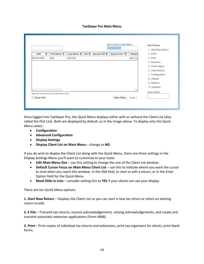## **TaxSlayer Pro Main Menu**

|             |   |                                                     |                |     |            | Edit or start a new return<br>$\overline{\phantom{a}}$ |          | <b>Quick Menu</b><br>1. Start New Return |
|-------------|---|-----------------------------------------------------|----------------|-----|------------|--------------------------------------------------------|----------|------------------------------------------|
| <b>SSN</b>  | ◥ | First Name T                                        | Last Name      | Suf | Spouse SSN | Spouse First I                                         | Telepho  | 2. E-file                                |
| 400-00-0505 |   | <b>BOB</b>                                          | <b>TESTING</b> |     |            |                                                        | (803) 65 | 3. Print                                 |
|             |   |                                                     |                |     |            |                                                        |          | 4. Business                              |
|             |   |                                                     |                |     |            |                                                        |          | 5. Client Status                         |
|             |   |                                                     |                |     |            |                                                        |          | 6. View Returns                          |
|             |   |                                                     |                |     |            |                                                        |          | 7. Configuration                         |
|             |   |                                                     |                |     |            |                                                        |          | 8. Utilities                             |
|             |   |                                                     |                |     |            |                                                        |          | 9. Reports                               |
|             |   |                                                     |                |     |            |                                                        |          | 10. Updates                              |
|             |   |                                                     |                |     |            |                                                        |          | <b>Enter Option</b>                      |
|             |   | Right click on a client row to access return notes. |                |     |            |                                                        |          |                                          |
| Mask SSN    |   |                                                     |                |     |            | <b>Clear Filters</b>                                   | Total: 1 |                                          |

Once logged into TaxSlayer Pro, the Quick Menu displays either with or without the Client List (also called the Pick List). Both are displayed by default, as in the image above. To display only the Quick Menu select:

- **Configuration**
- **Advanced Configuration**
- **Display Settings**
- **Display Client List on Main Menu** change to **NO**

If you do wish to display the Client List along with the Quick Menu, there are three settings in the Display Settings Menu you'll want to customize to your taste:

- **Edit Main Menu Size** use this setting to change the size of the Client List window.
- **Default Cursor Focus on Main Menu Client List** use this to indicate where you want the cursor to land when you reach this window: in the SSN field, to start or edit a return, or in the Enter Option field for the Quick Menu.
- **Mask SSNs in Lists** consider setting this to **YES** if your clients can see your display.

There are ten Quick Menu options:

**1. Start New Return** – Displays the Client List so you can start a new tax return or select an existing return to edit.

**2. E-File** – Transmit tax returns, receive acknowledgements, rehang acknowledgements, and create and transmit automatic extension applications (Form 4868).

**3. Print** – Print copies of individual tax returns and extensions, print tax organizers for clients, print blank forms.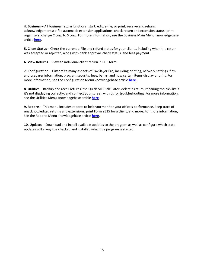**4. Business** – All business return functions: start, edit, e-file, or print; receive and rehang acknowledgements; e-file automatic extension applications; check return and extension status; print organizers; change C corp to S corp. For more information, see the Business Main Menu knowledgebase article **[here](https://support.taxslayerpro.com/hc/en-us/articles/360009173914)**.

**5. Client Status** – Check the current e-File and refund status for your clients, including when the return was accepted or rejected, along with bank approval, check status, and fees payment.

**6. View Returns** – View an individual client return in PDF form.

**7. Configuration** – Customize many aspects of TaxSlayer Pro, including printing, network settings, firm and preparer information, program security, fees, banks, and how certain items display or print. For more information, see the Configuration Menu knowledgebase article **[here](https://support.taxslayerpro.com/hc/en-us/articles/360009164654)**.

**8. Utilities** – Backup and recall returns, the Quick MFJ Calculator, delete a return, repairing the pick list if it's not displaying correctly, and connect your screen with us for troubleshooting. For more information, see the Utilities Menu knowledgebase article **[here](https://support.taxslayerpro.com/hc/en-us/articles/360042438714)**.

**9. Reports** – This menu includes reports to help you monitor your office's performance, keep track of unacknowledged returns and extensions, print Form 9325 for a client, and more. For more information, see the Reports Menu knowledgebase article **[here](https://support.taxslayerpro.com/hc/en-us/articles/360009168594)**.

**10. Updates** – Download and install available updates to the program as well as configure which state updates will always be checked and installed when the program is started.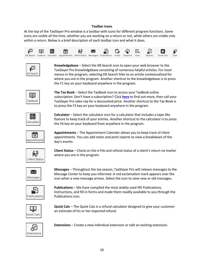## **Toolbar Icons**

At the top of the TaxSlayer Pro window is a toolbar with icons for different program functions. Some icons are visible all the time, whether you are working on a return or not, while others are visible only within a return. Below is a brief description of each toolbar icon and what it does.



| arc'<br>è<br>a<br>а<br>n |  |
|--------------------------|--|

**Knowledgebase** – Select the KB Search icon to open your web browser to the TaxSlayer Pro knowledgebase consisting of numerous helpful articles. For most menus in the program, selecting KB Search links to an article contextualized for where you are in the program. Another shortcut to the knowledgebase is to press the F1 key on your keyboard anywhere in the program.



**The Tax Book** – Select the TaxBook icon to access your TaxBook online subscription. Don't have a subscription? Click **[here](https://www.taxslayerpro.com/product-partnerships/the-tax-book-web-library-tax-preparer-resources/)** to find out more, then call your TaxSlayer Pro sales rep for a discounted price. Another shortcut to the Tax Book is to press the F3 key on your keyboard anywhere in the program.

鲳 Calculator

**Calculator** – Select the calculator icon for a calculator that includes a tape-like feature to keep track of your entries. Another shortcut to the calculator is to press the F6 key on your keyboard from anywhere in the program.



**Appointments** – The Appointment Calendar allows you to keep track of client appointments. You can add notes and print reports to view a breakdown of the day's events.



**Client Status** – Check on the e-File and refund status of a client's return no matter where you are in the program.



**Messages** – Throughout the tax season, TaxSlayer Pro will release messages to the Message Center to keep you informed. A red exclamation mark appears over the icon when a new message arrives. Select the icon to view new or old messages.



**Publications** – We have compiled the most widely used IRS Publications, Instructions, and fill-in forms and made them readily available to you through the Publications icon.



**Quick Calc** – The Quick Calc is a refund calculator designed to give your customer an estimate of his or her expected refund.



**Extensions** – Create a new individual extension or edit an existing extension.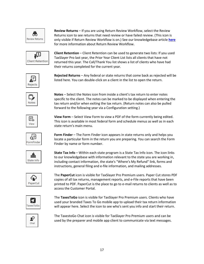

**Review Returns** – If you are using Return Review Workflow, select the Review Returns icon to see returns that need review or have failed review. (This icon is only visible if Return Review Workflow is on.) See our knowledgebase article **[here](https://support.taxslayerpro.com/hc/en-us/articles/360009295913)** for more information about Return Review Workflow.



**Client Retention** – Client Retention can be used to generate two lists: If you used TaxSlayer Pro last year, the Prior Year Client List lists all clients that have not returned this year. The Call/Thank You list shows a list of clients who have had their returns completed for the current year.



**Rejected Returns** – Any federal or state returns that come back as rejected will be listed here. You can double-click on a client in the list to open the return.



**Notes** – Select the Notes icon from inside a client's tax return to enter notes specific to the client. The notes can be marked to be displayed when entering the tax return and/or when exiting the tax return. (Return notes can also be pulled forward to the following year via a Configuration setting.)

E5 View

**View Form** – Select View Form to view a PDF of the form currently being edited. This icon is available in most federal form and schedule menus as well as in each state return's main menu.



**Form Finder** – The Form Finder icon appears in state returns only and helps you locate a particular form in the return you are preparing. You can search the Form Finder by name or form number.

壶 State Info

**State Tax Info** – Within each state program is a State Tax Info icon. The icon links to our knowledgebase with information relevant to the state you are working in, including contact information, the state's "Where's My Refund" link, forms and instructions, general filing and e-file information, and mailing addresses.



The **PaperCut** icon is visible for TaxSlayer Pro Premium users. Paper Cut stores PDF copies of all tax returns, management reports, and e-File reports that have been printed to PDF. PaperCut is the place to go to e-mail returns to clients as well as to access the Customer Portal.



The **TaxesToGo** icon is visible for TaxSlayer Pro Premium users. Clients who have used your branded Taxes To Go mobile app to upload their tax return information will appear here. Select the icon to see who's sent you info and start their return.



The TaxestoGo Chat icon is visible for TaxSlayer Pro Premium users and can be used by the preparer and mobile app client to communicate via text messages.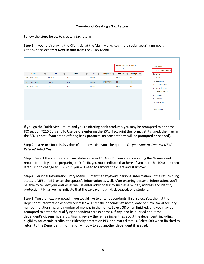## **Overview of Creating a Tax Return**

Follow the steps below to create a tax return.

**Step 1:** If you're displaying the Client List at the Main Menu, key in the social security number. Otherwise select **Start New Return** from the Quick Menu.



If you go the Quick Menu route and you're offering bank products, you may be prompted to print the IRC section 7216 Consent To Use before entering the SSN. If so, print the form, get it signed, then key in the SSN. (Note: If you aren't offering bank products, no consent form will be prompted or needed).

**Step 2:** If a return for this SSN doesn't already exist, you'll be queried *Do you want to Create a NEW Return?* Select **Yes**.

**Step 3:** Select the appropriate filing status or select 1040-NR if you are completing the Nonresident return. Note: if you are preparing a 1040-NR, you must indicate that here. If you start the 1040 and then later wish to change to 1040-NR, you will need to remove the client and start over.

**Step 4:** Personal Information Entry Menu – Enter the taxpayer's personal information. If the return filing status is MFJ or MFS, enter the spouse's information as well. After entering personal information, you'll be able to review your entries as well as enter additional info such as a military address and identity protection PIN, as well as indicate that the taxpayer is blind, deceased, or a student.

**Step 5:** You are next prompted if you would like to enter dependents. If so, select **Yes**, then at the Dependent Information window select **New**. Enter the dependent's name, date of birth, social security number, relationship, and number of months in the home. Select **OK** when finished, and you may be prompted to enter the qualifying dependent care expenses, if any, and be queried about the dependent's citizenship status. Finally, review the remaining entries about the dependent, including eligibility for certain credits, their identity protection PIN, and marital status. Select **Exit** when finished to return to the Dependent Information window to add another dependent if needed.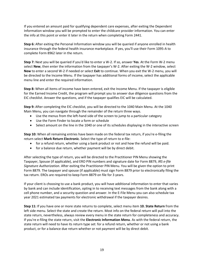If you entered an amount paid for qualifying dependent care expenses, after exiting the Dependent Information window you will be prompted to enter the childcare provider information. You can enter the info at this point or enter it later in the return when completing Form 2441.

**Step 6:** After exiting the Personal Information window you will be queried if anyone enrolled in health insurance through the federal health insurance marketplace. If yes, you'll use their Form 1095-A to complete Form 8962 later in the return.

**Step 7:** Next you will be queried if you'd like to enter a W-2. If so, answer **Yes**. At the Form W-2 menu select **New**, then enter the information from the taxpayer's W-2. After exiting the W-2 window, select **New** to enter a second W-2 if needed or select **Exit** to continue. When you exit the W-2 menu, you will be directed to the Income Menu. If the taxpayer has additional forms of income, select the applicable menu line and enter the required information.

**Step 8:** When all items of income have been entered, exit the Income Menu. If the taxpayer is eligible for the Earned Income Credit, the program will prompt you to answer due diligence questions from the EIC checklist. Answer the questions, and if the taxpayer qualifies EIC will be calculated.

**Step 9:** After completing the EIC checklist, you will be directed to the 1040 Main Menu. At the 1040 Main Menu, you can navigate through the remainder of the return three ways.

- Use the menus from the left-hand side of the screen to jump to a particular category
- Use the Form Finder to locate a form or schedule
- Select amount on the line in the 1040 or one of its schedules displaying in the interactive screen

**Step 10:** When all remaining entries have been made on the federal tax return, if you're e-filing the return select **Mark Return Electronic**. Select the type of return to e-file:

- for a refund return, whether using a bank product or not and how the refund will be paid.
- for a balance due return, whether payment will be by direct debit.

After selecting the type of return, you will be directed to the Practitioner PIN Menu showing the Taxpayer, Spouse (if applicable), and ERO PIN numbers and signature date for Form 8879, *IRS e-file Signature Authorization*. After exiting the Practitioner PIN Menu. You will be given the option to print Form 8879. The taxpayer and spouse (if applicable) must sign Form 8879 prior to electronically filing the tax return. EROs are required to keep Form 8879 on file for 3 years.

If your client is choosing to use a bank product, you will have additional information to enter that varies by bank and can include identification, opting in to receiving text messages from the bank along with a cell phone number, and a security question and answer. In the E-File Menu you can also schedule tax year 2021 estimated tax payments for electronic withdrawal if the taxpayer desires.

**Step 11:** If you have one or more state returns to complete, select menu item **10. State Return** from the left side menu. Select the state and create the return. Most info on the federal return will pull into the state return, nevertheless, always review every menu in the state return for completeness and accuracy. If you're e-filing the state return, visit the **Electronic Information Menu**. As with the federal return, the state return will need to have its return type set: for a refund return, whether or not using a bank product, or for a balance due return whether or not payment will be by direct debit.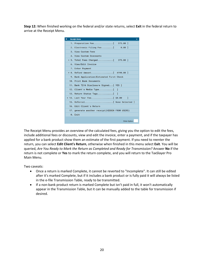**Step 12:** When finished working on the federal and/or state returns, select **Exit** in the federal return to arrive at the Receipt Menu.



The Receipt Menu provides an overview of the calculated fees, giving you the option to edit the fees, include additional fees or discounts, view and edit the invoice, enter a payment, and if the taxpayer has applied for a bank product show them an estimate of the first payment. If you need to reenter the return, you can select **Edit Client's Return**, otherwise when finished in this menu select **Exit**. You will be queried, *Are You Ready to Mark the Return as Completed and Ready for Transmission?* Answer **No** if the return is not complete or **Yes** to mark the return complete, and you will return to the TaxSlayer Pro Main Menu.

Two caveats:

- Once a return is marked Complete, it cannot be reverted to "Incomplete". It can still be edited after it's marked Complete, but if it includes a bank product or is fully paid it will always be listed in the e-file Transmission Table, ready to be transmitted.
- If a non-bank product return is marked Complete but isn't paid in full, it won't automatically appear in the Transmission Table, but it can be manually added to the table for transmission if desired.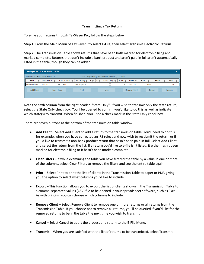## **Transmitting a Tax Return**

To e-file your returns through TaxSlayer Pro, follow the steps below:

**Step 1:** From the Main Menu of TaxSlayer Pro select **E-File**, then select **Transmit Electronic Returns**.

**Step 2:** The Transmission Table shows returns that have been both marked for electronic filing and marked complete. Returns that don't include a bank product and aren't paid in full aren't automatically listed in the table, though they can be added.

| <b>TaxSlayer Pro Transmission Table</b> |             |                      |                    |            |   |                                                  |                            |                      |      |      |        |                 |  |
|-----------------------------------------|-------------|----------------------|--------------------|------------|---|--------------------------------------------------|----------------------------|----------------------|------|------|--------|-----------------|--|
| Number of Returns to Send: 1            |             |                      |                    |            |   | State Only E-Filing will be enabled on 1/22/2020 |                            |                      |      |      |        |                 |  |
| <b>SSN</b>                              | First Name  | Last Name            | Federal Ty         | $\sqrt{S}$ | S | State Only                                       | Prepa $\blacktriangledown$ | $EFIN$ $\top$        | Fees |      | EFile  | Sent            |  |
| 400-00-0505                             | <b>DEMO</b> | <b>RETURN</b>        | <b>Dir Deposit</b> |            |   |                                                  |                            | 121121               |      | 0.00 |        |                 |  |
| <b>Add Client</b>                       |             | <b>Clear Filters</b> | Print              |            |   | Export                                           |                            | <b>Remove Client</b> |      |      | Cancel | <b>Transmit</b> |  |
|                                         |             |                      |                    |            |   |                                                  |                            |                      |      |      |        |                 |  |

Note the sixth column from the right headed "State Only". If you wish to transmit only the state return, select the State Only check box. You'll be queried to confirm you'd like to do this as well as indicate which state(s) to transmit. When finished, you'll see a check mark in the State Only check box.

There are seven buttons at the bottom of the transmission table window:

- **Add Client** Select Add Client to add a return to the transmission table. You'll need to do this, for example, when you have corrected an IRS reject and now wish to resubmit the return, or if you'd like to transmit a non-bank product return that hasn't been paid in full. Select Add Client and select the return from the list. If a return you'd like to e-file isn't listed, it either hasn't been marked for electronic filing or it hasn't been marked complete.
- **Clear Filters –** If while examining the table you have filtered the table by a value in one or more of the columns, select Clear Filters to remove the filters and see the entire table again.
- **Print** Select Print to print the list of clients in the Transmission Table to paper or PDF, giving you the option to select what columns you'd like to include.
- **Export** This function allows you to export the list of clients shown in the Transmission Table to a comma-separated values (CSV) file to be opened in your spreadsheet software, such as Excel. As with printing, you can choose which columns to include.
- **Remove Client** Select Remove Client to remove one or more returns or all returns from the Transmission Table. If you choose not to remove all returns, you'll be queried if you'd like for the removed returns to be in the table the next time you wish to transmit.
- **Cancel** Select Cancel to abort the process and return to the E-File Menu.
- **Transmit** When you are satisfied with the list of returns to be transmitted, select Transmit.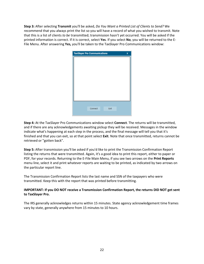**Step 3:** After selecting **Transmit** you'll be asked, *Do You Want a Printed List of Clients to Send?* We recommend that you always print the list so you will have a record of what you wished to transmit. Note that this is a list of clients *to be* transmitted; transmission hasn't yet occurred. You will be asked if the printed information is correct. If it is correct, select **Yes**. If you select **No**, you will be returned to the E-File Menu. After answering **Yes,** you'll be taken to the TaxSlayer Pro Communications window:

| <b>TaxSlayer Pro Communications</b> |      | x |
|-------------------------------------|------|---|
|                                     |      |   |
|                                     |      |   |
|                                     |      |   |
|                                     |      |   |
|                                     |      |   |
|                                     |      |   |
|                                     |      |   |
|                                     |      |   |
|                                     |      |   |
|                                     |      |   |
| Connect                             | Exit |   |
|                                     |      |   |

**Step 4:** At the TaxSlayer Pro Communications window select **Connect**. The returns will be transmitted, and if there are any acknowledgements awaiting pickup they will be received. Messages in the window indicate what's happening at each step in the process, and the final message will tell you that it's finished and that you can exit, so at that point select **Exit**. Note that once transmitted, returns cannot be retrieved or "gotten back".

**Step 5:** After transmission you'll be asked if you'd like to print the Transmission Confirmation Report listing the returns that were transmitted. Again, it's a good idea to print this report, either to paper or PDF, for your records. Returning to the E-File Main Menu, if you see two arrows on the **Print Reports** menu line, select it and print whatever reports are waiting to be printed, as indicated by two arrows on the particular report line.

The Transmission Confirmation Report lists the last name and SSN of the taxpayers who were transmitted. Keep this with the report that was printed before transmitting.

# **IMPORTANT: If you DO NOT receive a Transmission Confirmation Report, the returns DID NOT get sent to TaxSlayer Pro.**

The IRS generally acknowledges returns within 15 minutes. State agency acknowledgement time frames vary by state, generally anywhere from 15 minutes to 10 hours.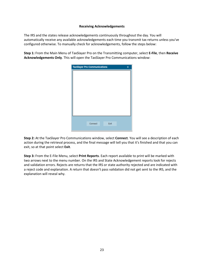## **Receiving Acknowledgements**

The IRS and the states release acknowledgements continuously throughout the day. You will automatically receive any available acknowledgements each time you transmit tax returns unless you've configured otherwise. To manually check for acknowledgements, follow the steps below:

**Step 1:** From the Main Menu of TaxSlayer Pro on the Transmitting computer, select **E-File**, then **Receive Acknowledgements Only**. This will open the TaxSlayer Pro Communications window:

| <b>TaxSlayer Pro Communications</b> |         |      | $\mathbf x$ |
|-------------------------------------|---------|------|-------------|
|                                     |         |      |             |
|                                     |         |      |             |
|                                     |         |      |             |
|                                     |         |      |             |
|                                     |         |      |             |
|                                     |         |      |             |
|                                     |         |      |             |
|                                     |         |      |             |
|                                     |         |      |             |
|                                     | Connect | Exit |             |
|                                     |         |      |             |

**Step 2:** At the TaxSlayer Pro Communications window, select **Connect**. You will see a description of each action during the retrieval process, and the final message will tell you that it's finished and that you can exit, so at that point select **Exit**.

**Step 3:** From the E-File Menu, select **Print Reports**. Each report available to print will be marked with two arrows next to the menu number. On the IRS and State Acknowledgement reports look for rejects and validation errors. Rejects are returns that the IRS or state authority rejected and are indicated with a reject code and explanation. A return that doesn't pass validation did not get sent to the IRS, and the explanation will reveal why.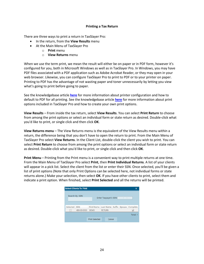## **Printing a Tax Return**

There are three ways to print a return in TaxSlayer Pro:

- In the return, from the **View Results** menu
- At the Main Menu of TaxSlayer Pro
	- o **Print** menu
	- o **View Returns** menu

When we use the term print, we mean the result will either be on paper or in PDF form, however it's configured for you, both in Microsoft Windows as well as in TaxSlayer Pro. In Windows, you may have PDF files associated with a PDF application such as Adobe Acrobat Reader, or they may open in your web browser. Likewise, you can configure TaxSlayer Pro to print to PDF or to your printer on paper. Printing to PDF has the advantage of not wasting paper and toner unnecessarily by letting you view what's going to print before going to paper.

See the knowledgebase article **[here](https://support.taxslayerpro.com/hc/en-us/articles/360009168314)** for more information about printer configuration and how to default to PDF for all printing. See the knowledgebase article **[here](https://support.taxslayerpro.com/hc/en-us/articles/360009168114)** for more information about print options included in TaxSlayer Pro and how to create your own print options.

**View Results** – From inside the tax return, select **View Results**. You can select **Print Return** to choose from among the print options or select an individual form or state return as desired. Double-click what you'd like to print, or single click and then click **OK**.

**View Returns menu** – The View Returns menu is the equivalent of the View Results menu within a return, the difference being that you don't have to open the return to print. From the Main Menu of TaxSlayer Pro select **View Returns**. In the Client List, double-click the client you wish to print. You can select **Print Return** to choose from among the print options or select an individual form or state return as desired. Double-click what you'd like to print, or single click and then click **OK**.

**Print Menu** – Printing from the Print menu is a convenient way to print multiple returns at one time. From the Main Menu of TaxSlayer Pro select **Print**, then **Print Individual Returns**. A list of your clients will appear in a pick list. Select the client from the list or enter their SSN. Once selected, you'll be given a list of print options (Note that only Print Options can be selected here, not individual forms or state returns alone.) Make your selection, then select **OK**. If you have other clients to print, select them and indicate a print option. When finished, select **Print Selected** and all the returns will be printed.

|              | <b>Select Clients To Print</b> |                       |               |                       |  | X                                           |
|--------------|--------------------------------|-----------------------|---------------|-----------------------|--|---------------------------------------------|
|              | Search By: SSN                 |                       |               | Enter Taxpayer's SSN: |  |                                             |
| Selected SSN |                                |                       |               |                       |  | First Name Last Name Suffix Spouse Complete |
|              | 400-00-0505 DEMO               |                       | <b>RETURN</b> |                       |  |                                             |
|              |                                |                       |               |                       |  | Total: 1                                    |
|              |                                | <b>Print Selected</b> |               | Cancel                |  |                                             |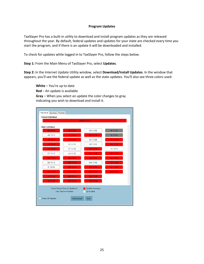#### **Program Updates**

TaxSlayer Pro has a built-in utility to download and install program updates as they are released throughout the year. By default, federal updates and updates for your state are checked every time you start the program, and if there is an update it will be downloaded and installed.

To check for updates while logged in to TaxSlayer Pro, follow the steps below.

**Step 1:** From the Main Menu of TaxSlayer Pro, select **Updates**.

**Step 2:** In the Internet Update Utility window, select **Download/Install Updates**. In the window that appears, you'll see the federal update as well as the state updates. You'll also see three colors used:

**White** – You're up to date

**Red** – An update is available

**Gray** – When you select an update the color changes to gray indicating you wish to download and install it.

| Individual<br><b>Business</b> Transfer |                                                      |                                  |          |  |
|----------------------------------------|------------------------------------------------------|----------------------------------|----------|--|
| <b>Federal Individual</b>              |                                                      |                                  |          |  |
|                                        |                                                      | Federal 11/16                    |          |  |
| <b>State Individual</b>                |                                                      |                                  |          |  |
| AL 11/16                               | ID 11/16                                             | MS 11/05                         | PA 11/16 |  |
| AR 11/15                               | IL 11/16                                             | MT 11/16                         | RI 11/16 |  |
| AZ 11/16                               | IN 11/16                                             | <b>NC 11/06</b>                  | SC 11/16 |  |
| CA 11/16                               | KS 11/13                                             | ND 11/03                         | TN 11/16 |  |
| CO 11/16                               | KY 11/14                                             | <b>NE 11/16</b>                  | TX 10/15 |  |
| CT 11/15                               | LA 11/12                                             | NH 11/16                         | UT 11/16 |  |
| DC 11/16                               | MA 11/16                                             | <b>NJ 11/16</b>                  | VA 11/16 |  |
| DE 11/13                               | MD 11/16                                             | NM 11/06                         | VT 11/16 |  |
| FL 10/19                               | ME 11/16                                             | NY 11/16                         | WI 11/16 |  |
| GA 11/16                               | MI 11/16                                             | OH 11/16                         | WV 11/16 |  |
| HI 11/16                               | MN 11/16                                             | OK 11/16                         |          |  |
| IA 11/16                               | MO 11/16                                             | OR 11/16                         |          |  |
|                                        | Hover Mouse Over an Update to<br>View Version Number | Update necessary.<br>Up to date. |          |  |
| <b>Check All Needed</b>                | Download                                             | Exit                             |          |  |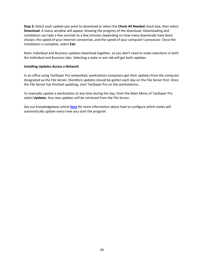**Step 3:** Select each update you want to download or select the **Check All Needed** check box, then select **Download**. A status window will appear showing the progress of the download. Downloading and installation can take a few seconds to a few minutes depending on how many downloads have been chosen, the speed of your Internet connection, and the speed of your computer's processor. Once the installation is complete, select **Exit**.

Note: Individual and Business updates download together, so you don't need to make selections in both the Individual and Business tabs. Selecting a state in one tab will get both updates.

## **Installing Updates Across a Network**

In an office using TaxSlayer Pro networked, workstation computers get their updates from the computer designated as the File Server, therefore updates should be gotten each day on the File Server first. Once the File Server has finished updating, start TaxSlayer Pro on the workstations.

To manually update a workstation at any time during the day, from the Main Menu of TaxSlayer Pro select **Updates**. Any new updates will be retrieved from the File Server.

See our knowledgebase article **[here](https://support.taxslayerpro.com/hc/en-us/articles/360009171994)** for more information about how to configure which states will automatically update every time you start the program.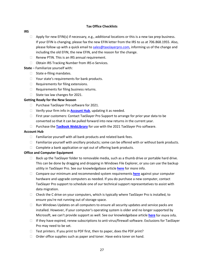## **Tax Office Checklists**

#### **IRS**

- $\Box$  Apply for new EFIN(s) if necessary, e.g., additional locations or this is a new tax prep business. If your EFIN is changing, please fax the new EFIN letter from the IRS to us at 706.868.1955. Also, please follow up with a quick email to [sales@taxslayerpro.com,](mailto:sales@taxslayerpro.com) informing us of the change and including the old EFIN, the new EFIN, and the reason for the change.
- $\Box$  Renew PTIN. This is an IRS annual requirement.
- □ Obtain IRS Tracking Number from IRS e-Services.
- **State** Familiarize yourself with:
	- $\Box$  State e-filing mandates.
	- $\Box$  Your state's requirements for bank products.
	- $\Box$  Requirements for filing extensions.
	- $\Box$  Requirements for filing business returns.
	- $\Box$  State tax law changes for 2021.

# **Getting Ready for the New Season**

- □ Purchase TaxSlayer Pro software for 2021.
- □ Verify your firm info in **[Account Hub](https://taxslayerpro.taxofficemanagement.com/accounthub/Login?ReturnUrl=%2faccounthub)**, updating it as needed.
- $\Box$  First year customers: Contact TaxSlayer Pro Support to arrange for prior year data to be converted so that it can be pulled forward into new returns in the current year.
- Purchase the **[TaxBook WebLibrary](http://www.taxslayerpro.com/order.aspx#taxbookinfo)** for use with the 2021 TaxSlayer Pro software.

## **Account Hub**

- $\Box$  Familiarize yourself with all bank products and related bank fees.
- $\Box$  Familiarize yourself with ancillary products; some can be offered with or without bank products.
- $\Box$  Complete a bank application or opt out of offering bank products.

## **Office and Computer Equipment**

- $\Box$  Back up the TaxSlayer folder to removable media, such as a thumb drive or portable hard drive. This can be done by dragging and dropping in Windows File Explorer, or you can use the backup utility in TaxSlayer Pro. See our knowledgebase article **[here](https://support.taxslayerpro.com/hc/en-us/articles/360009162234)** for more info.
- Compare our minimum and recommended system requirements **[here](https://support.taxslayerpro.com/hc/en-us/articles/360009171594)** against your computer hardware and upgrade computers as needed. If you do purchase a new computer, contact TaxSlayer Pro support to schedule one of our technical support representatives to assist with data migration.
- $\Box$  Check the C drive on your computers, which is typically where TaxSlayer Pro is installed, to ensure you're not running out of storage space.
- $\Box$  Run Windows Updates on all computers to ensure all security updates and service packs are installed. However, if your computer's operating system is older and no longer supported by Microsoft, we can't provide support as well. See our knowledgebase article **[here](https://support.taxslayerpro.com/hc/en-us/articles/360009171674)** for more info.
- $\Box$  If they have expired, renew subscriptions to anti-virus/firewall software. Exclusions for TaxSlayer Pro may need to be set.
- $\Box$  Test printers. If you print to PDF first, then to paper, does the PDF print?
- $\Box$  Order office supplies such as paper and toner. Have extra toner on hand.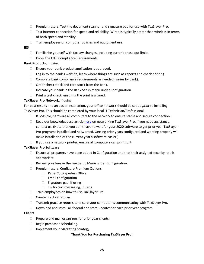- $\Box$  Premium users: Test the document scanner and signature pad for use with TaxSlayer Pro.
- $\Box$  Test internet connection for speed and reliability. Wired is typically better than wireless in terms of both speed and stability.
- $\Box$  Train employees on computer policies and equipment use.
- **IRS**
	- $\Box$  Familiarize yourself with tax law changes, including current phase out limits.
	- $\Box$  Know the EITC Compliance Requirements.

#### **Bank Products, if using**

- $\Box$  Ensure your bank product application is approved.
- $\Box$  Log in to the bank's website, learn where things are such as reports and check printing.
- $\Box$  Complete bank compliance requirements as needed (varies by bank).
- $\Box$  Order check stock and card stock from the bank.
- $\Box$  Indicate your bank in the Bank Setup menu under Configuration.
- $\Box$  Print a test check, ensuring the print is aligned.

## **TaxSlayer Pro Network, if using**

For best results and an easier installation, your office network should be set up *prior* to installing TaxSlayer Pro. This should be completed by your local IT Technician/Professional.

- $\Box$  If possible, hardwire all computers to the network to ensure stable and secure connection.
- Read our knowledgebase article **[here](https://support.taxslayerpro.com/hc/en-us/articles/360009167754)** on networking TaxSlayer Pro. If you need assistance, contact us. (Note that you don't have to wait for your 2020 software to get prior year TaxSlayer Pro programs installed and networked. Getting prior years configured and working properly will make installation of the current year's software easier.)
- $\Box$  If you use a network printer, ensure all computers can print to it.

#### **TaxSlayer Pro Software**

- $\Box$  Ensure all preparers have been added in Configuration and that their assigned security role is appropriate.
- $\Box$  Review your fees in the Fee Setup Menu under Configuration.
- **Premium users: Configure Premium Options:** 
	- □ PaperCut Paperless Office
	- Email configuration
	- $\Box$  Signature pad, if using
	- $\Box$  Twilio text messaging, if using
- $\Box$  Train employees on how to use TaxSlayer Pro.
- $\Box$  Create practice returns.
- $\Box$  Transmit practice returns to ensure your computer is communicating with TaxSlayer Pro.
- □ Download and install all federal and state updates for each prior year program.

#### **Clients**

- $\Box$  Prepare and mail organizers for prior year clients.
- Begin preseason scheduling.
- □ Implement your Marketing Strategy.

#### **Thank You for Purchasing TaxSlayer Pro!**